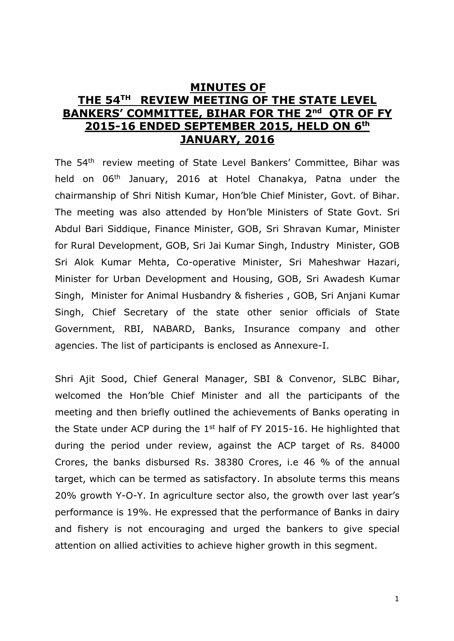# **MINUTES OF THE 54TH REVIEW MEETING OF THE STATE LEVEL BANKERS' COMMITTEE, BIHAR FOR THE 2<sup>nd</sup> QTR OF FY 2015-16 ENDED SEPTEMBER 2015, HELD ON 6 th JANUARY, 2016**

The 54th review meeting of State Level Bankers' Committee, Bihar was held on 06<sup>th</sup> January, 2016 at Hotel Chanakya, Patna under the chairmanship of Shri Nitish Kumar, Hon'ble Chief Minister, Govt. of Bihar. The meeting was also attended by Hon'ble Ministers of State Govt. Sri Abdul Bari Siddique, Finance Minister, GOB, Sri Shravan Kumar, Minister for Rural Development, GOB, Sri Jai Kumar Singh, Industry Minister, GOB Sri Alok Kumar Mehta, Co-operative Minister, Sri Maheshwar Hazari, Minister for Urban Development and Housing, GOB, Sri Awadesh Kumar Singh, Minister for Animal Husbandry & fisheries , GOB, Sri Anjani Kumar Singh, Chief Secretary of the state other senior officials of State Government, RBI, NABARD, Banks, Insurance company and other agencies. The list of participants is enclosed as Annexure-I.

Shri Ajit Sood, Chief General Manager, SBI & Convenor, SLBC Bihar, welcomed the Hon'ble Chief Minister and all the participants of the meeting and then briefly outlined the achievements of Banks operating in the State under ACP during the  $1<sup>st</sup>$  half of FY 2015-16. He highlighted that during the period under review, against the ACP target of Rs. 84000 Crores, the banks disbursed Rs. 38380 Crores, i.e 46 % of the annual target, which can be termed as satisfactory. In absolute terms this means 20% growth Y-O-Y. In agriculture sector also, the growth over last year's performance is 19%. He expressed that the performance of Banks in dairy and fishery is not encouraging and urged the bankers to give special attention on allied activities to achieve higher growth in this segment.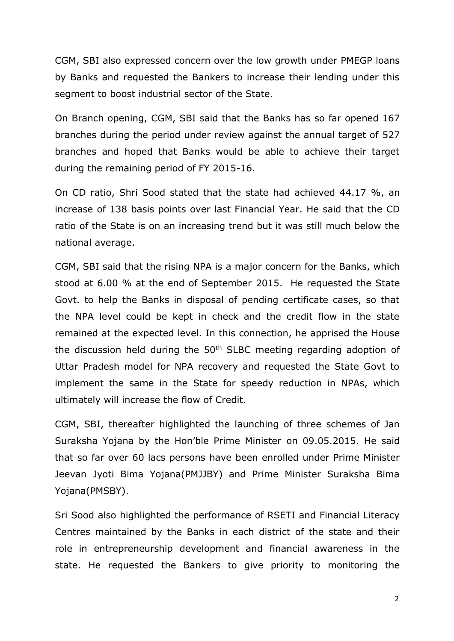CGM, SBI also expressed concern over the low growth under PMEGP loans by Banks and requested the Bankers to increase their lending under this segment to boost industrial sector of the State.

On Branch opening, CGM, SBI said that the Banks has so far opened 167 branches during the period under review against the annual target of 527 branches and hoped that Banks would be able to achieve their target during the remaining period of FY 2015-16.

On CD ratio, Shri Sood stated that the state had achieved 44.17 %, an increase of 138 basis points over last Financial Year. He said that the CD ratio of the State is on an increasing trend but it was still much below the national average.

CGM, SBI said that the rising NPA is a major concern for the Banks, which stood at 6.00 % at the end of September 2015. He requested the State Govt. to help the Banks in disposal of pending certificate cases, so that the NPA level could be kept in check and the credit flow in the state remained at the expected level. In this connection, he apprised the House the discussion held during the  $50<sup>th</sup>$  SLBC meeting regarding adoption of Uttar Pradesh model for NPA recovery and requested the State Govt to implement the same in the State for speedy reduction in NPAs, which ultimately will increase the flow of Credit.

CGM, SBI, thereafter highlighted the launching of three schemes of Jan Suraksha Yojana by the Hon'ble Prime Minister on 09.05.2015. He said that so far over 60 lacs persons have been enrolled under Prime Minister Jeevan Jyoti Bima Yojana(PMJJBY) and Prime Minister Suraksha Bima Yojana(PMSBY).

Sri Sood also highlighted the performance of RSETI and Financial Literacy Centres maintained by the Banks in each district of the state and their role in entrepreneurship development and financial awareness in the state. He requested the Bankers to give priority to monitoring the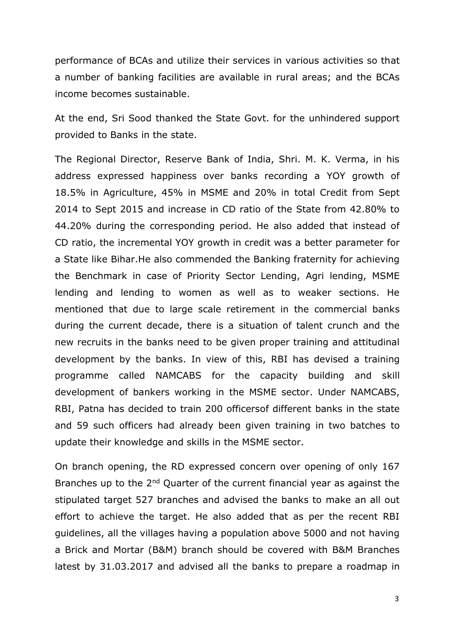performance of BCAs and utilize their services in various activities so that a number of banking facilities are available in rural areas; and the BCAs income becomes sustainable.

At the end, Sri Sood thanked the State Govt. for the unhindered support provided to Banks in the state.

The Regional Director, Reserve Bank of India, Shri. M. K. Verma, in his address expressed happiness over banks recording a YOY growth of 18.5% in Agriculture, 45% in MSME and 20% in total Credit from Sept 2014 to Sept 2015 and increase in CD ratio of the State from 42.80% to 44.20% during the corresponding period. He also added that instead of CD ratio, the incremental YOY growth in credit was a better parameter for a State like Bihar.He also commended the Banking fraternity for achieving the Benchmark in case of Priority Sector Lending, Agri lending, MSME lending and lending to women as well as to weaker sections. He mentioned that due to large scale retirement in the commercial banks during the current decade, there is a situation of talent crunch and the new recruits in the banks need to be given proper training and attitudinal development by the banks. In view of this, RBI has devised a training programme called NAMCABS for the capacity building and skill development of bankers working in the MSME sector. Under NAMCABS, RBI, Patna has decided to train 200 officersof different banks in the state and 59 such officers had already been given training in two batches to update their knowledge and skills in the MSME sector.

On branch opening, the RD expressed concern over opening of only 167 Branches up to the 2<sup>nd</sup> Quarter of the current financial year as against the stipulated target 527 branches and advised the banks to make an all out effort to achieve the target. He also added that as per the recent RBI guidelines, all the villages having a population above 5000 and not having a Brick and Mortar (B&M) branch should be covered with B&M Branches latest by 31.03.2017 and advised all the banks to prepare a roadmap in

3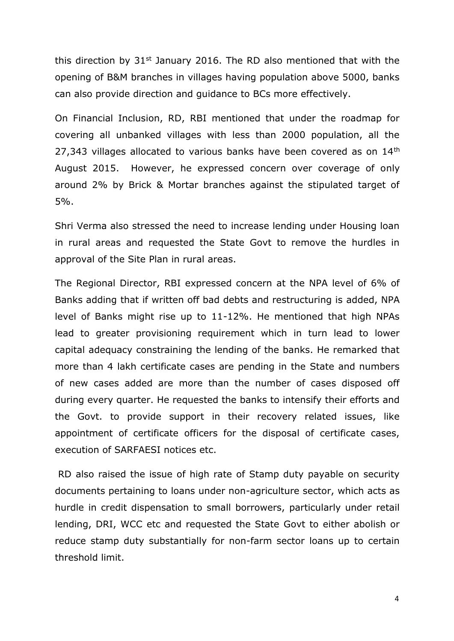this direction by  $31^{st}$  January 2016. The RD also mentioned that with the opening of B&M branches in villages having population above 5000, banks can also provide direction and guidance to BCs more effectively.

On Financial Inclusion, RD, RBI mentioned that under the roadmap for covering all unbanked villages with less than 2000 population, all the 27,343 villages allocated to various banks have been covered as on  $14<sup>th</sup>$ August 2015. However, he expressed concern over coverage of only around 2% by Brick & Mortar branches against the stipulated target of 5%.

Shri Verma also stressed the need to increase lending under Housing loan in rural areas and requested the State Govt to remove the hurdles in approval of the Site Plan in rural areas.

The Regional Director, RBI expressed concern at the NPA level of 6% of Banks adding that if written off bad debts and restructuring is added, NPA level of Banks might rise up to 11-12%. He mentioned that high NPAs lead to greater provisioning requirement which in turn lead to lower capital adequacy constraining the lending of the banks. He remarked that more than 4 lakh certificate cases are pending in the State and numbers of new cases added are more than the number of cases disposed off during every quarter. He requested the banks to intensify their efforts and the Govt. to provide support in their recovery related issues, like appointment of certificate officers for the disposal of certificate cases, execution of SARFAESI notices etc.

RD also raised the issue of high rate of Stamp duty payable on security documents pertaining to loans under non-agriculture sector, which acts as hurdle in credit dispensation to small borrowers, particularly under retail lending, DRI, WCC etc and requested the State Govt to either abolish or reduce stamp duty substantially for non-farm sector loans up to certain threshold limit.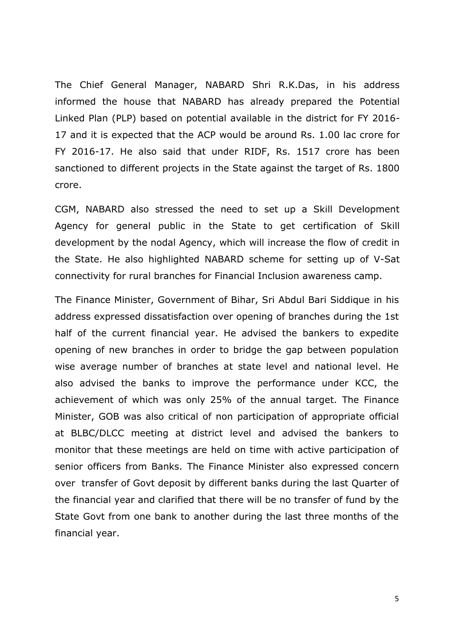The Chief General Manager, NABARD Shri R.K.Das, in his address informed the house that NABARD has already prepared the Potential Linked Plan (PLP) based on potential available in the district for FY 2016- 17 and it is expected that the ACP would be around Rs. 1.00 lac crore for FY 2016-17. He also said that under RIDF, Rs. 1517 crore has been sanctioned to different projects in the State against the target of Rs. 1800 crore.

CGM, NABARD also stressed the need to set up a Skill Development Agency for general public in the State to get certification of Skill development by the nodal Agency, which will increase the flow of credit in the State. He also highlighted NABARD scheme for setting up of V-Sat connectivity for rural branches for Financial Inclusion awareness camp.

The Finance Minister, Government of Bihar, Sri Abdul Bari Siddique in his address expressed dissatisfaction over opening of branches during the 1st half of the current financial year. He advised the bankers to expedite opening of new branches in order to bridge the gap between population wise average number of branches at state level and national level. He also advised the banks to improve the performance under KCC, the achievement of which was only 25% of the annual target. The Finance Minister, GOB was also critical of non participation of appropriate official at BLBC/DLCC meeting at district level and advised the bankers to monitor that these meetings are held on time with active participation of senior officers from Banks. The Finance Minister also expressed concern over transfer of Govt deposit by different banks during the last Quarter of the financial year and clarified that there will be no transfer of fund by the State Govt from one bank to another during the last three months of the financial year.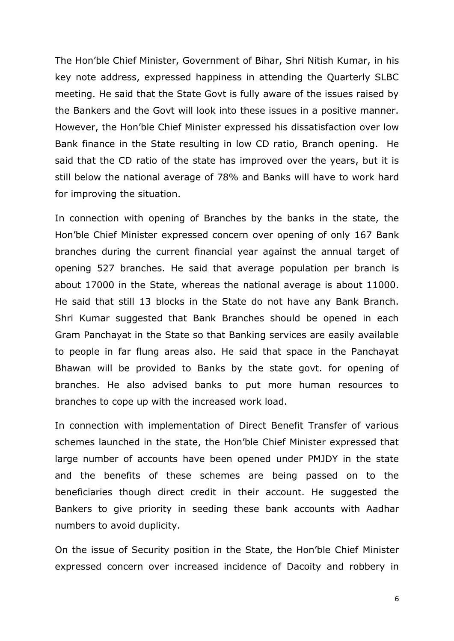The Hon'ble Chief Minister, Government of Bihar, Shri Nitish Kumar, in his key note address, expressed happiness in attending the Quarterly SLBC meeting. He said that the State Govt is fully aware of the issues raised by the Bankers and the Govt will look into these issues in a positive manner. However, the Hon'ble Chief Minister expressed his dissatisfaction over low Bank finance in the State resulting in low CD ratio, Branch opening. He said that the CD ratio of the state has improved over the years, but it is still below the national average of 78% and Banks will have to work hard for improving the situation.

In connection with opening of Branches by the banks in the state, the Hon'ble Chief Minister expressed concern over opening of only 167 Bank branches during the current financial year against the annual target of opening 527 branches. He said that average population per branch is about 17000 in the State, whereas the national average is about 11000. He said that still 13 blocks in the State do not have any Bank Branch. Shri Kumar suggested that Bank Branches should be opened in each Gram Panchayat in the State so that Banking services are easily available to people in far flung areas also. He said that space in the Panchayat Bhawan will be provided to Banks by the state govt. for opening of branches. He also advised banks to put more human resources to branches to cope up with the increased work load.

In connection with implementation of Direct Benefit Transfer of various schemes launched in the state, the Hon'ble Chief Minister expressed that large number of accounts have been opened under PMJDY in the state and the benefits of these schemes are being passed on to the beneficiaries though direct credit in their account. He suggested the Bankers to give priority in seeding these bank accounts with Aadhar numbers to avoid duplicity.

On the issue of Security position in the State, the Hon'ble Chief Minister expressed concern over increased incidence of Dacoity and robbery in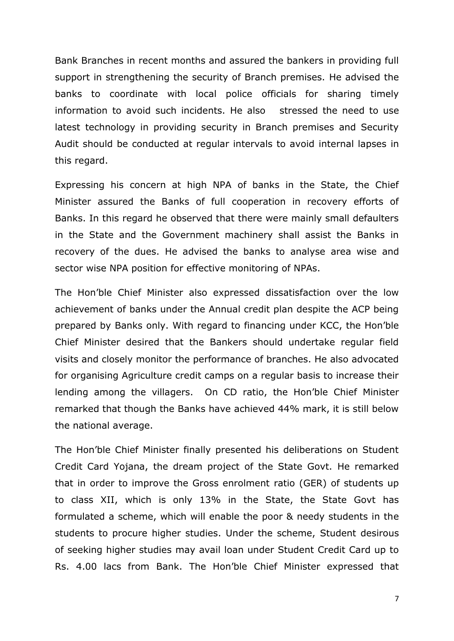Bank Branches in recent months and assured the bankers in providing full support in strengthening the security of Branch premises. He advised the banks to coordinate with local police officials for sharing timely information to avoid such incidents. He also stressed the need to use latest technology in providing security in Branch premises and Security Audit should be conducted at regular intervals to avoid internal lapses in this regard.

Expressing his concern at high NPA of banks in the State, the Chief Minister assured the Banks of full cooperation in recovery efforts of Banks. In this regard he observed that there were mainly small defaulters in the State and the Government machinery shall assist the Banks in recovery of the dues. He advised the banks to analyse area wise and sector wise NPA position for effective monitoring of NPAs.

The Hon'ble Chief Minister also expressed dissatisfaction over the low achievement of banks under the Annual credit plan despite the ACP being prepared by Banks only. With regard to financing under KCC, the Hon'ble Chief Minister desired that the Bankers should undertake regular field visits and closely monitor the performance of branches. He also advocated for organising Agriculture credit camps on a regular basis to increase their lending among the villagers. On CD ratio, the Hon'ble Chief Minister remarked that though the Banks have achieved 44% mark, it is still below the national average.

The Hon'ble Chief Minister finally presented his deliberations on Student Credit Card Yojana, the dream project of the State Govt. He remarked that in order to improve the Gross enrolment ratio (GER) of students up to class XII, which is only 13% in the State, the State Govt has formulated a scheme, which will enable the poor & needy students in the students to procure higher studies. Under the scheme, Student desirous of seeking higher studies may avail loan under Student Credit Card up to Rs. 4.00 lacs from Bank. The Hon'ble Chief Minister expressed that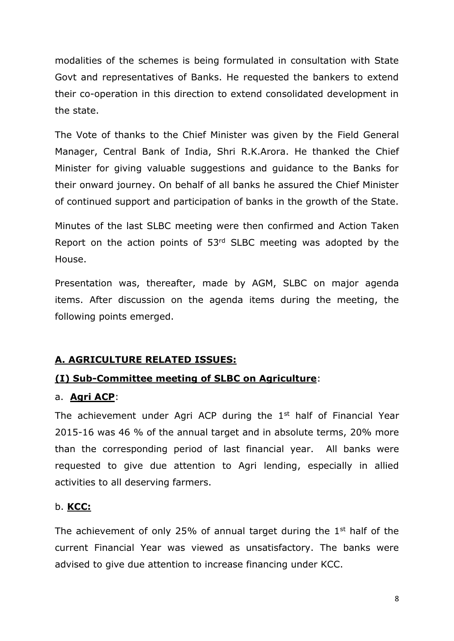modalities of the schemes is being formulated in consultation with State Govt and representatives of Banks. He requested the bankers to extend their co-operation in this direction to extend consolidated development in the state.

The Vote of thanks to the Chief Minister was given by the Field General Manager, Central Bank of India, Shri R.K.Arora. He thanked the Chief Minister for giving valuable suggestions and guidance to the Banks for their onward journey. On behalf of all banks he assured the Chief Minister of continued support and participation of banks in the growth of the State.

Minutes of the last SLBC meeting were then confirmed and Action Taken Report on the action points of 53rd SLBC meeting was adopted by the House.

Presentation was, thereafter, made by AGM, SLBC on major agenda items. After discussion on the agenda items during the meeting, the following points emerged.

### **A. AGRICULTURE RELATED ISSUES:**

### **(I) Sub-Committee meeting of SLBC on Agriculture**:

#### a. **Agri ACP**:

The achievement under Agri ACP during the  $1<sup>st</sup>$  half of Financial Year 2015-16 was 46 % of the annual target and in absolute terms, 20% more than the corresponding period of last financial year. All banks were requested to give due attention to Agri lending, especially in allied activities to all deserving farmers.

#### b. **KCC:**

The achievement of only 25% of annual target during the  $1<sup>st</sup>$  half of the current Financial Year was viewed as unsatisfactory. The banks were advised to give due attention to increase financing under KCC.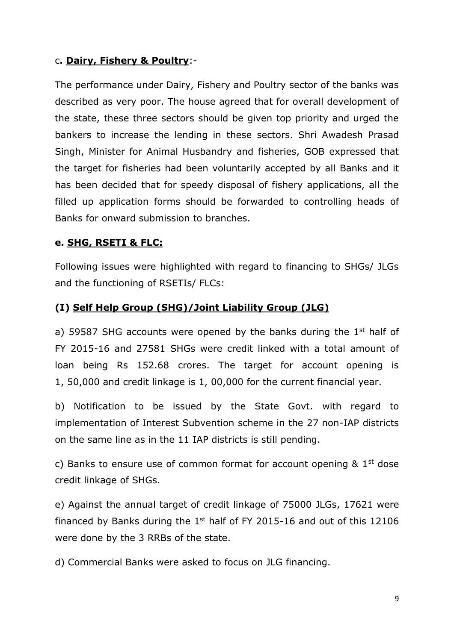### c**. Dairy, Fishery & Poultry**:-

The performance under Dairy, Fishery and Poultry sector of the banks was described as very poor. The house agreed that for overall development of the state, these three sectors should be given top priority and urged the bankers to increase the lending in these sectors. Shri Awadesh Prasad Singh, Minister for Animal Husbandry and fisheries, GOB expressed that the target for fisheries had been voluntarily accepted by all Banks and it has been decided that for speedy disposal of fishery applications, all the filled up application forms should be forwarded to controlling heads of Banks for onward submission to branches.

### **e. SHG, RSETI & FLC:**

Following issues were highlighted with regard to financing to SHGs/ JLGs and the functioning of RSETIs/ FLCs:

### **(I) Self Help Group (SHG)/Joint Liability Group (JLG)**

a) 59587 SHG accounts were opened by the banks during the  $1<sup>st</sup>$  half of FY 2015-16 and 27581 SHGs were credit linked with a total amount of loan being Rs 152.68 crores. The target for account opening is 1, 50,000 and credit linkage is 1, 00,000 for the current financial year.

b) Notification to be issued by the State Govt. with regard to implementation of Interest Subvention scheme in the 27 non-IAP districts on the same line as in the 11 IAP districts is still pending.

c) Banks to ensure use of common format for account opening  $\&$  1<sup>st</sup> dose credit linkage of SHGs.

e) Against the annual target of credit linkage of 75000 JLGs, 17621 were financed by Banks during the  $1<sup>st</sup>$  half of FY 2015-16 and out of this 12106 were done by the 3 RRBs of the state.

d) Commercial Banks were asked to focus on JLG financing.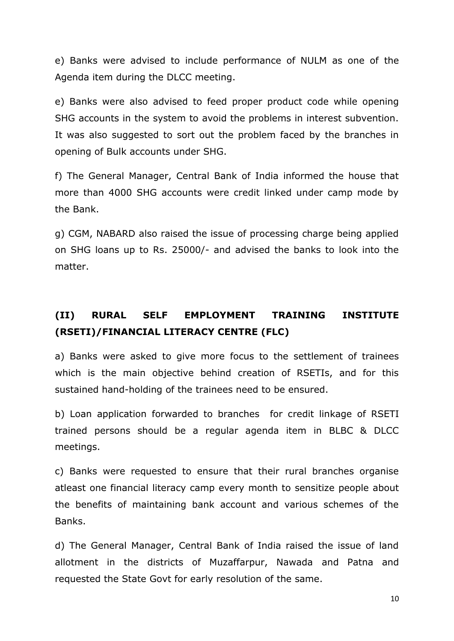e) Banks were advised to include performance of NULM as one of the Agenda item during the DLCC meeting.

e) Banks were also advised to feed proper product code while opening SHG accounts in the system to avoid the problems in interest subvention. It was also suggested to sort out the problem faced by the branches in opening of Bulk accounts under SHG.

f) The General Manager, Central Bank of India informed the house that more than 4000 SHG accounts were credit linked under camp mode by the Bank.

g) CGM, NABARD also raised the issue of processing charge being applied on SHG loans up to Rs. 25000/- and advised the banks to look into the matter.

# **(II) RURAL SELF EMPLOYMENT TRAINING INSTITUTE (RSETI)/FINANCIAL LITERACY CENTRE (FLC)**

a) Banks were asked to give more focus to the settlement of trainees which is the main objective behind creation of RSETIs, and for this sustained hand-holding of the trainees need to be ensured.

b) Loan application forwarded to branches for credit linkage of RSETI trained persons should be a regular agenda item in BLBC & DLCC meetings.

c) Banks were requested to ensure that their rural branches organise atleast one financial literacy camp every month to sensitize people about the benefits of maintaining bank account and various schemes of the Banks.

d) The General Manager, Central Bank of India raised the issue of land allotment in the districts of Muzaffarpur, Nawada and Patna and requested the State Govt for early resolution of the same.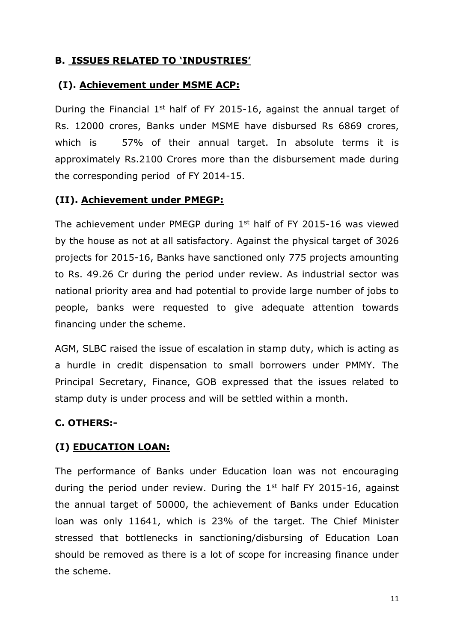### **B. ISSUES RELATED TO 'INDUSTRIES'**

## **(I). Achievement under MSME ACP:**

During the Financial  $1<sup>st</sup>$  half of FY 2015-16, against the annual target of Rs. 12000 crores, Banks under MSME have disbursed Rs 6869 crores, which is 57% of their annual target. In absolute terms it is approximately Rs.2100 Crores more than the disbursement made during the corresponding period of FY 2014-15.

## **(II). Achievement under PMEGP:**

The achievement under PMEGP during  $1<sup>st</sup>$  half of FY 2015-16 was viewed by the house as not at all satisfactory. Against the physical target of 3026 projects for 2015-16, Banks have sanctioned only 775 projects amounting to Rs. 49.26 Cr during the period under review. As industrial sector was national priority area and had potential to provide large number of jobs to people, banks were requested to give adequate attention towards financing under the scheme.

AGM, SLBC raised the issue of escalation in stamp duty, which is acting as a hurdle in credit dispensation to small borrowers under PMMY. The Principal Secretary, Finance, GOB expressed that the issues related to stamp duty is under process and will be settled within a month.

## **C. OTHERS:-**

## **(I) EDUCATION LOAN:**

The performance of Banks under Education loan was not encouraging during the period under review. During the  $1<sup>st</sup>$  half FY 2015-16, against the annual target of 50000, the achievement of Banks under Education loan was only 11641, which is 23% of the target. The Chief Minister stressed that bottlenecks in sanctioning/disbursing of Education Loan should be removed as there is a lot of scope for increasing finance under the scheme.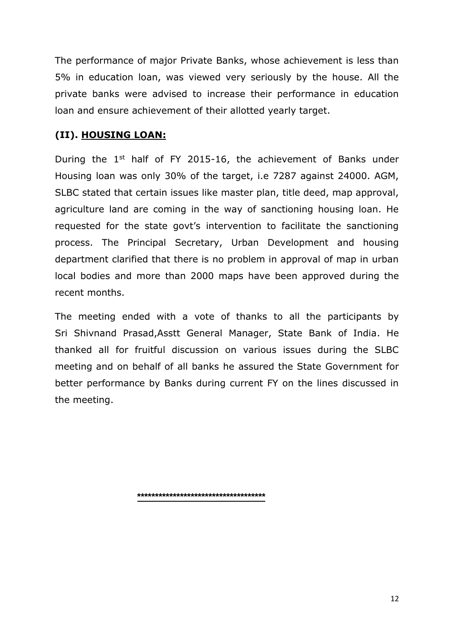The performance of major Private Banks, whose achievement is less than 5% in education loan, was viewed very seriously by the house. All the private banks were advised to increase their performance in education loan and ensure achievement of their allotted yearly target.

## **(II). HOUSING LOAN:**

During the  $1<sup>st</sup>$  half of FY 2015-16, the achievement of Banks under Housing loan was only 30% of the target, i.e 7287 against 24000. AGM, SLBC stated that certain issues like master plan, title deed, map approval, agriculture land are coming in the way of sanctioning housing loan. He requested for the state govt's intervention to facilitate the sanctioning process. The Principal Secretary, Urban Development and housing department clarified that there is no problem in approval of map in urban local bodies and more than 2000 maps have been approved during the recent months.

The meeting ended with a vote of thanks to all the participants by Sri Shivnand Prasad,Asstt General Manager, State Bank of India. He thanked all for fruitful discussion on various issues during the SLBC meeting and on behalf of all banks he assured the State Government for better performance by Banks during current FY on the lines discussed in the meeting.

**\*\*\*\*\*\*\*\*\*\*\*\*\*\*\*\*\*\*\*\*\*\*\*\*\*\*\*\*\*\*\*\*\*\*\*\***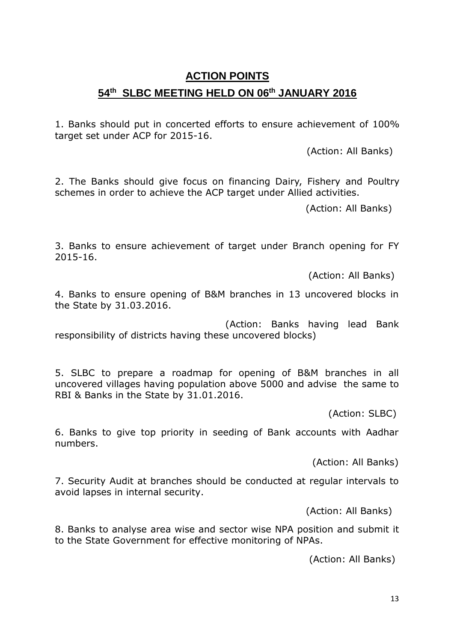# **ACTION POINTS 54 th SLBC MEETING HELD ON 06th JANUARY 2016**

1. Banks should put in concerted efforts to ensure achievement of 100% target set under ACP for 2015-16.

(Action: All Banks)

2. The Banks should give focus on financing Dairy, Fishery and Poultry schemes in order to achieve the ACP target under Allied activities.

(Action: All Banks)

3. Banks to ensure achievement of target under Branch opening for FY 2015-16.

(Action: All Banks)

4. Banks to ensure opening of B&M branches in 13 uncovered blocks in the State by 31.03.2016.

 (Action: Banks having lead Bank responsibility of districts having these uncovered blocks)

5. SLBC to prepare a roadmap for opening of B&M branches in all uncovered villages having population above 5000 and advise the same to RBI & Banks in the State by 31.01.2016.

(Action: SLBC)

6. Banks to give top priority in seeding of Bank accounts with Aadhar numbers.

(Action: All Banks)

7. Security Audit at branches should be conducted at regular intervals to avoid lapses in internal security.

(Action: All Banks)

8. Banks to analyse area wise and sector wise NPA position and submit it to the State Government for effective monitoring of NPAs.

(Action: All Banks)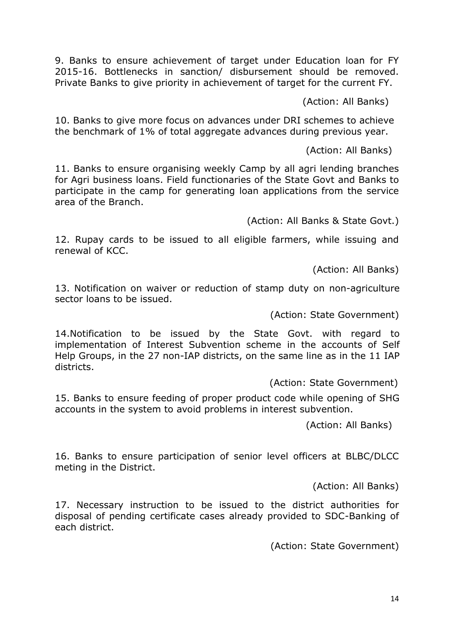9. Banks to ensure achievement of target under Education loan for FY 2015-16. Bottlenecks in sanction/ disbursement should be removed. Private Banks to give priority in achievement of target for the current FY.

(Action: All Banks)

10. Banks to give more focus on advances under DRI schemes to achieve the benchmark of 1% of total aggregate advances during previous year.

(Action: All Banks)

11. Banks to ensure organising weekly Camp by all agri lending branches for Agri business loans. Field functionaries of the State Govt and Banks to participate in the camp for generating loan applications from the service area of the Branch.

(Action: All Banks & State Govt.)

12. Rupay cards to be issued to all eligible farmers, while issuing and renewal of KCC.

(Action: All Banks)

13. Notification on waiver or reduction of stamp duty on non-agriculture sector loans to be issued.

(Action: State Government)

14.Notification to be issued by the State Govt. with regard to implementation of Interest Subvention scheme in the accounts of Self Help Groups, in the 27 non-IAP districts, on the same line as in the 11 IAP districts.

(Action: State Government)

15. Banks to ensure feeding of proper product code while opening of SHG accounts in the system to avoid problems in interest subvention.

(Action: All Banks)

16. Banks to ensure participation of senior level officers at BLBC/DLCC meting in the District.

(Action: All Banks)

17. Necessary instruction to be issued to the district authorities for disposal of pending certificate cases already provided to SDC-Banking of each district.

(Action: State Government)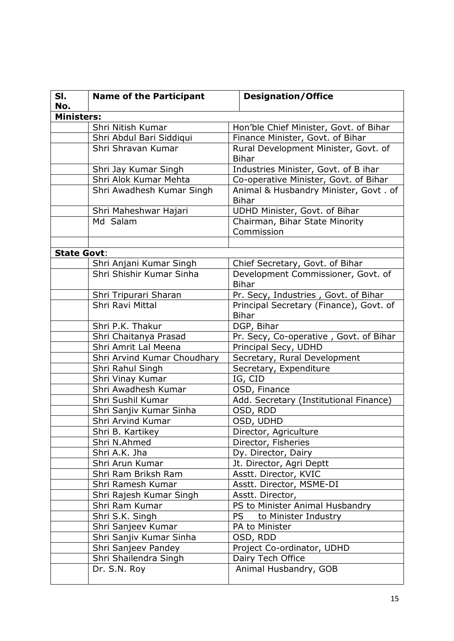| SI.<br>No.         | <b>Name of the Participant</b> | <b>Designation/Office</b>                               |  |  |
|--------------------|--------------------------------|---------------------------------------------------------|--|--|
| <b>Ministers:</b>  |                                |                                                         |  |  |
|                    | Shri Nitish Kumar              | Hon'ble Chief Minister, Govt. of Bihar                  |  |  |
|                    | Shri Abdul Bari Siddiqui       | Finance Minister, Govt. of Bihar                        |  |  |
|                    | Shri Shravan Kumar             | Rural Development Minister, Govt. of                    |  |  |
|                    |                                | <b>Bihar</b>                                            |  |  |
|                    | Shri Jay Kumar Singh           | Industries Minister, Govt. of B ihar                    |  |  |
|                    | Shri Alok Kumar Mehta          | Co-operative Minister, Govt. of Bihar                   |  |  |
|                    | Shri Awadhesh Kumar Singh      | Animal & Husbandry Minister, Govt. of<br><b>Bihar</b>   |  |  |
|                    | Shri Maheshwar Hajari          | UDHD Minister, Govt. of Bihar                           |  |  |
|                    | Md Salam                       | Chairman, Bihar State Minority<br>Commission            |  |  |
|                    |                                |                                                         |  |  |
| <b>State Govt:</b> |                                |                                                         |  |  |
|                    | Shri Anjani Kumar Singh        | Chief Secretary, Govt. of Bihar                         |  |  |
|                    | Shri Shishir Kumar Sinha       | Development Commissioner, Govt. of<br><b>Bihar</b>      |  |  |
|                    | Shri Tripurari Sharan          | Pr. Secy, Industries, Govt. of Bihar                    |  |  |
|                    | Shri Ravi Mittal               | Principal Secretary (Finance), Govt. of<br><b>Bihar</b> |  |  |
|                    | Shri P.K. Thakur               | DGP, Bihar                                              |  |  |
|                    | Shri Chaitanya Prasad          | Pr. Secy, Co-operative, Govt. of Bihar                  |  |  |
|                    | Shri Amrit Lal Meena           | Principal Secy, UDHD                                    |  |  |
|                    | Shri Arvind Kumar Choudhary    | Secretary, Rural Development                            |  |  |
|                    | Shri Rahul Singh               | Secretary, Expenditure                                  |  |  |
|                    | Shri Vinay Kumar               | IG, CID                                                 |  |  |
|                    | Shri Awadhesh Kumar            | OSD, Finance                                            |  |  |
|                    | Shri Sushil Kumar              | Add. Secretary (Institutional Finance)                  |  |  |
|                    | Shri Sanjiv Kumar Sinha        | OSD, RDD                                                |  |  |
|                    | Shri Arvind Kumar              | OSD, UDHD                                               |  |  |
|                    | Shri B. Kartikey               | Director, Agriculture                                   |  |  |
|                    | Shri N.Ahmed                   | Director, Fisheries                                     |  |  |
|                    | Shri A.K. Jha                  | Dy. Director, Dairy                                     |  |  |
|                    | Shri Arun Kumar                | Jt. Director, Agri Deptt                                |  |  |
|                    | Shri Ram Briksh Ram            | Asstt. Director, KVIC                                   |  |  |
|                    | Shri Ramesh Kumar              | Asstt. Director, MSME-DI                                |  |  |
|                    | Shri Rajesh Kumar Singh        | Asstt. Director,                                        |  |  |
|                    | Shri Ram Kumar                 | PS to Minister Animal Husbandry                         |  |  |
|                    | Shri S.K. Singh                | <b>PS</b><br>to Minister Industry                       |  |  |
|                    | Shri Sanjeev Kumar             | PA to Minister                                          |  |  |
|                    | Shri Sanjiv Kumar Sinha        | OSD, RDD                                                |  |  |
|                    | Shri Sanjeev Pandey            | Project Co-ordinator, UDHD                              |  |  |
|                    | Shri Shailendra Singh          | Dairy Tech Office                                       |  |  |
|                    | Dr. S.N. Roy                   | Animal Husbandry, GOB                                   |  |  |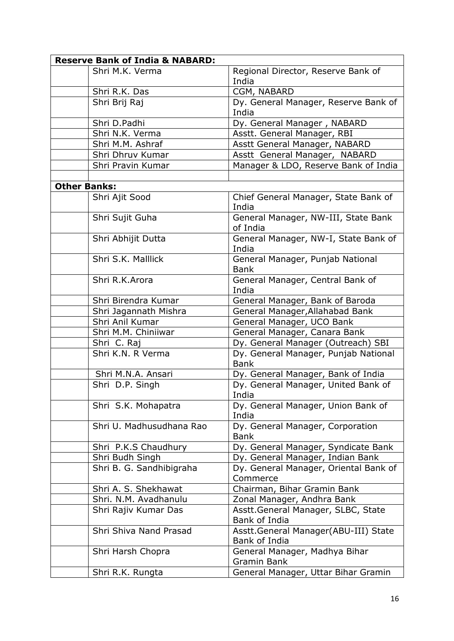| <b>Reserve Bank of India &amp; NABARD:</b> |                                                       |  |  |  |
|--------------------------------------------|-------------------------------------------------------|--|--|--|
| Shri M.K. Verma                            | Regional Director, Reserve Bank of<br>India           |  |  |  |
| Shri R.K. Das                              | CGM, NABARD                                           |  |  |  |
| Shri Brij Raj                              | Dy. General Manager, Reserve Bank of<br>India         |  |  |  |
| Shri D.Padhi                               | Dy. General Manager, NABARD                           |  |  |  |
| Shri N.K. Verma                            | Asstt. General Manager, RBI                           |  |  |  |
| Shri M.M. Ashraf                           | Asstt General Manager, NABARD                         |  |  |  |
| Shri Dhruv Kumar                           | Asstt General Manager, NABARD                         |  |  |  |
| Shri Pravin Kumar                          | Manager & LDO, Reserve Bank of India                  |  |  |  |
|                                            |                                                       |  |  |  |
| <b>Other Banks:</b>                        |                                                       |  |  |  |
| Shri Ajit Sood                             | Chief General Manager, State Bank of<br>India         |  |  |  |
| Shri Sujit Guha                            | General Manager, NW-III, State Bank<br>of India       |  |  |  |
| Shri Abhijit Dutta                         | General Manager, NW-I, State Bank of<br>India         |  |  |  |
| Shri S.K. Malllick                         | General Manager, Punjab National<br><b>Bank</b>       |  |  |  |
| Shri R.K.Arora                             | General Manager, Central Bank of<br>India             |  |  |  |
| Shri Birendra Kumar                        | General Manager, Bank of Baroda                       |  |  |  |
| Shri Jagannath Mishra                      | General Manager, Allahabad Bank                       |  |  |  |
| Shri Anil Kumar                            | General Manager, UCO Bank                             |  |  |  |
| Shri M.M. Chiniiwar                        | General Manager, Canara Bank                          |  |  |  |
| Shri C. Raj                                | Dy. General Manager (Outreach) SBI                    |  |  |  |
| Shri K.N. R Verma                          | Dy. General Manager, Punjab National<br><b>Bank</b>   |  |  |  |
| Shri M.N.A. Ansari                         | Dy. General Manager, Bank of India                    |  |  |  |
| Shri D.P. Singh                            | Dy. General Manager, United Bank of<br>India          |  |  |  |
| Shri S.K. Mohapatra                        | Dy. General Manager, Union Bank of<br>India           |  |  |  |
| Shri U. Madhusudhana Rao                   | Dy. General Manager, Corporation<br><b>Bank</b>       |  |  |  |
| Shri P.K.S Chaudhury                       | Dy. General Manager, Syndicate Bank                   |  |  |  |
| Shri Budh Singh                            | Dy. General Manager, Indian Bank                      |  |  |  |
| Shri B. G. Sandhibigraha                   | Dy. General Manager, Oriental Bank of<br>Commerce     |  |  |  |
| Shri A. S. Shekhawat                       | Chairman, Bihar Gramin Bank                           |  |  |  |
| Shri. N.M. Avadhanulu                      | Zonal Manager, Andhra Bank                            |  |  |  |
| Shri Rajiv Kumar Das                       | Asstt.General Manager, SLBC, State<br>Bank of India   |  |  |  |
| Shri Shiva Nand Prasad                     | Asstt.General Manager(ABU-III) State<br>Bank of India |  |  |  |
| Shri Harsh Chopra                          | General Manager, Madhya Bihar<br>Gramin Bank          |  |  |  |
| Shri R.K. Rungta                           | General Manager, Uttar Bihar Gramin                   |  |  |  |